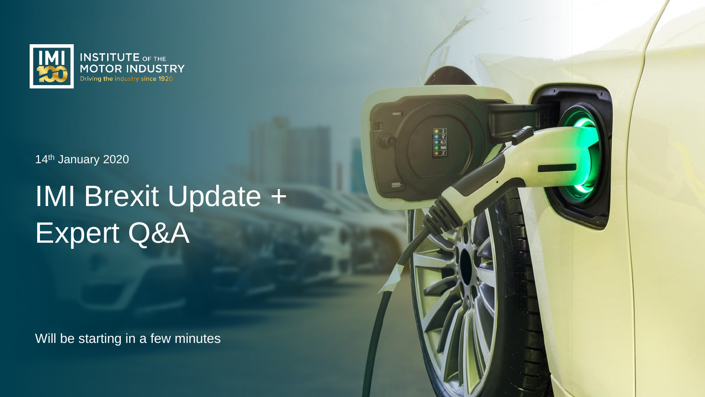

14<sup>th</sup> January 2020

# IMI Brexit Update + Expert Q&A

**ORDER** 

Will be starting in a few minutes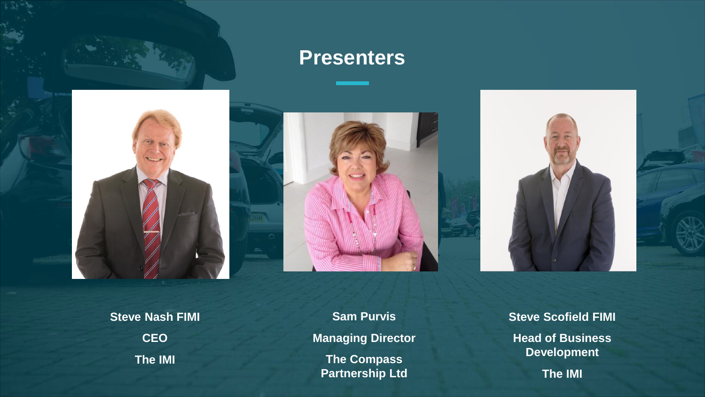

#### **Presenters**



**Steve Nash FIMI CEO The IMI** 

**Sam Purvis Managing Director The Compass Partnership Ltd**

**Steve Scofield FIMI Head of Business Development The IMI**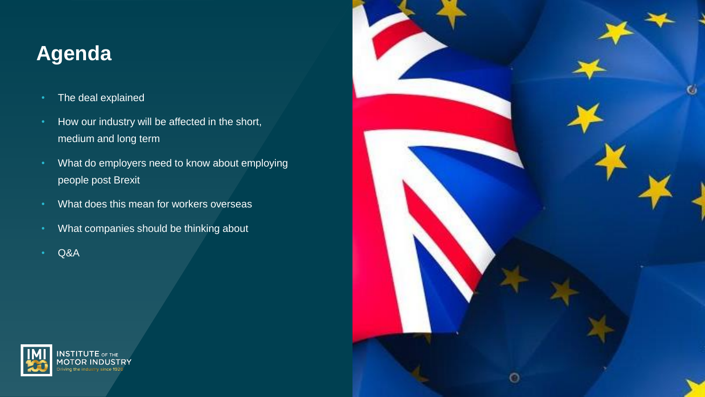### **Agenda**

- The deal explained
- How our industry will be affected in the short, medium and long term
- What do employers need to know about employing people post Brexit
- What does this mean for workers overseas
- What companies should be thinking about
- Q&A



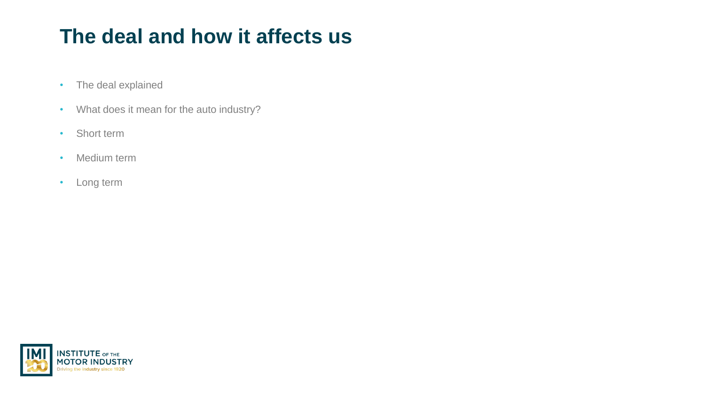## **The deal and how it affects us**

- The deal explained
- What does it mean for the auto industry?
- Short term
- Medium term
- Long term

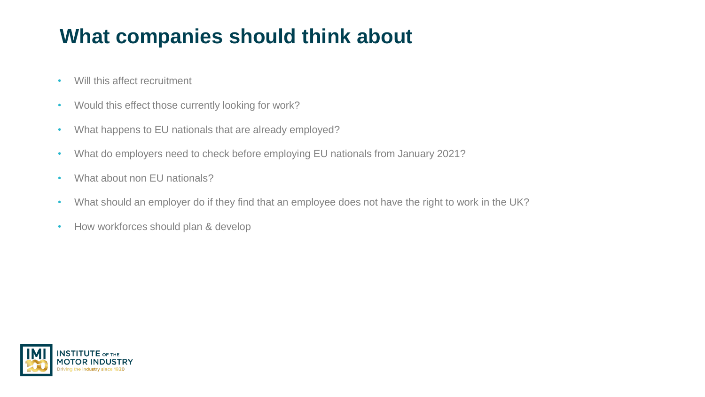## **What companies should think about**

- Will this affect recruitment
- Would this effect those currently looking for work?
- What happens to EU nationals that are already employed?
- What do employers need to check before employing EU nationals from January 2021?
- What about non EU nationals?
- What should an employer do if they find that an employee does not have the right to work in the UK?
- How workforces should plan & develop

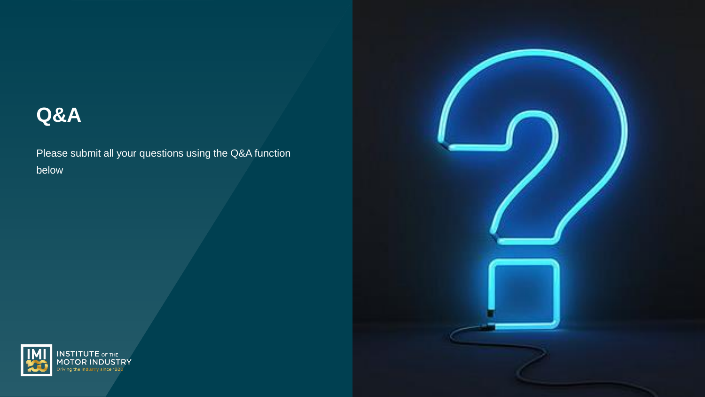#### **Q&A**

Please submit all your questions using the Q&A function below



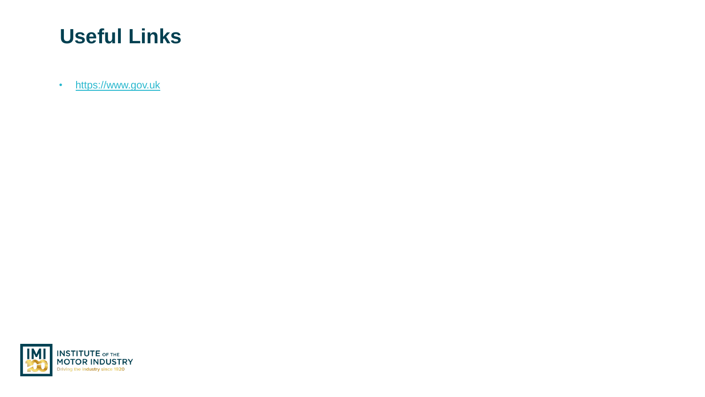#### **Useful Links**

• [https://www.gov.uk](https://www.gov.uk/)